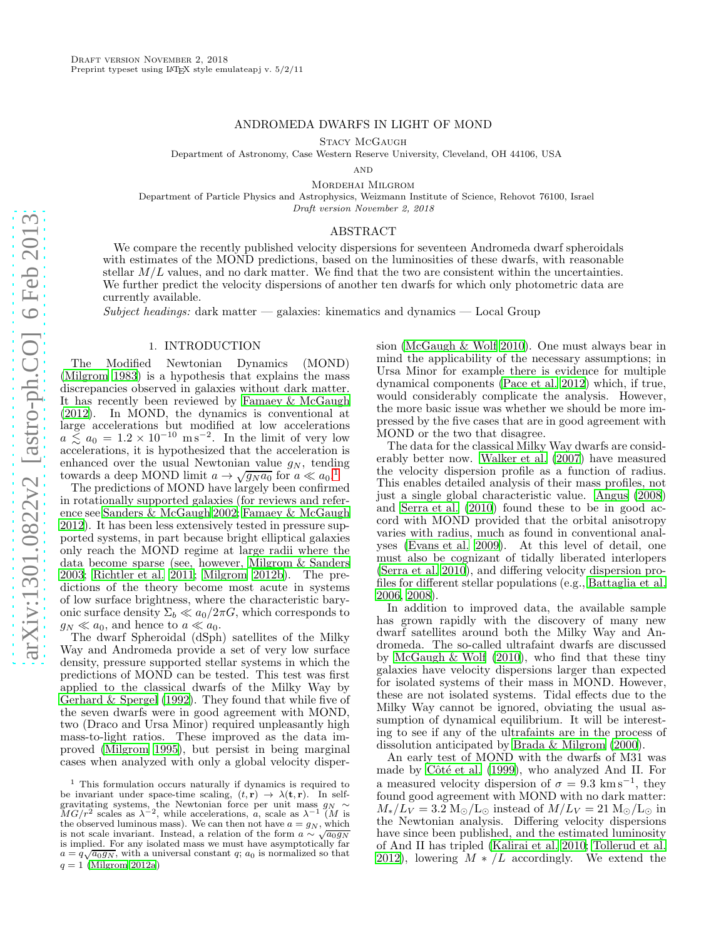## ANDROMEDA DWARFS IN LIGHT OF MOND

Stacy McGaugh

Department of Astronomy, Case Western Reserve University, Cleveland, OH 44106, USA

 $AND$ 

Mordehai Milgrom

Department of Particle Physics and Astrophysics, Weizmann Institute of Science, Rehovot 76100, Israel Draft version November 2, 2018

#### ABSTRACT

We compare the recently published velocity dispersions for seventeen Andromeda dwarf spheroidals with estimates of the MOND predictions, based on the luminosities of these dwarfs, with reasonable stellar  $M/L$  values, and no dark matter. We find that the two are consistent within the uncertainties. We further predict the velocity dispersions of another ten dwarfs for which only photometric data are currently available.

Subject headings: dark matter — galaxies: kinematics and dynamics — Local Group

## 1. INTRODUCTION

The Modified Newtonian Dynamics (MOND) [\(Milgrom 1983\)](#page-7-0) is a hypothesis that explains the mass discrepancies observed in galaxies without dark matter. It has recently been reviewed by [Famaey & McGaugh](#page-6-0) [\(2012\)](#page-6-0). In MOND, the dynamics is conventional at large accelerations but modified at low accelerations  $a \le a_0 = 1.2 \times 10^{-10} \text{ m s}^{-2}$ . In the limit of very low accelerations, it is hypothesized that the acceleration is enhanced over the usual Newtonian value  $g_N$ , tending towards a deep MOND limit  $a \to \sqrt{g_N a_0}$  for  $a \ll a_0$ .<sup>[1](#page-0-0)</sup>

The predictions of MOND have largely been confirmed in rotationally supported galaxies (for reviews and reference see [Sanders & McGaugh 2002;](#page-7-1) [Famaey & McGaugh](#page-6-0) [2012\)](#page-6-0). It has been less extensively tested in pressure supported systems, in part because bright elliptical galaxies only reach the MOND regime at large radii where the data become sparse (see, however, [Milgrom & Sanders](#page-7-2) [2003;](#page-7-2) [Richtler et al. 2011;](#page-7-3) [Milgrom 2012b](#page-7-4)). The predictions of the theory become most acute in systems of low surface brightness, where the characteristic baryonic surface density  $\Sigma_b \ll a_0/2\pi G$ , which corresponds to  $g_N \ll a_0$ , and hence to  $a \ll a_0$ .

The dwarf Spheroidal (dSph) satellites of the Milky Way and Andromeda provide a set of very low surface density, pressure supported stellar systems in which the predictions of MOND can be tested. This test was first applied to the classical dwarfs of the Milky Way by [Gerhard & Spergel \(1992\)](#page-7-5). They found that while five of the seven dwarfs were in good agreement with MOND, two (Draco and Ursa Minor) required unpleasantly high mass-to-light ratios. These improved as the data improved [\(Milgrom 1995](#page-7-6)), but persist in being marginal cases when analyzed with only a global velocity dispersion [\(McGaugh & Wolf 2010\)](#page-7-8). One must always bear in mind the applicability of the necessary assumptions; in Ursa Minor for example there is evidence for multiple dynamical components [\(Pace et al. 2012\)](#page-7-9) which, if true, would considerably complicate the analysis. However, the more basic issue was whether we should be more impressed by the five cases that are in good agreement with MOND or the two that disagree.

The data for the classical Milky Way dwarfs are considerably better now. [Walker et al. \(2007](#page-7-10)) have measured the velocity dispersion profile as a function of radius. This enables detailed analysis of their mass profiles, not just a single global characteristic value. [Angus \(2008](#page-6-1)) and [Serra et al. \(2010\)](#page-7-11) found these to be in good accord with MOND provided that the orbital anisotropy varies with radius, much as found in conventional analyses [\(Evans et al. 2009\)](#page-6-2). At this level of detail, one must also be cognizant of tidally liberated interlopers [\(Serra et al. 2010\)](#page-7-11), and differing velocity dispersion profiles for different stellar populations (e.g., [Battaglia et al.](#page-6-3) [2006,](#page-6-3) [2008\)](#page-6-4).

In addition to improved data, the available sample has grown rapidly with the discovery of many new dwarf satellites around both the Milky Way and Andromeda. The so-called ultrafaint dwarfs are discussed by [McGaugh & Wolf \(2010\)](#page-7-8), who find that these tiny galaxies have velocity dispersions larger than expected for isolated systems of their mass in MOND. However, these are not isolated systems. Tidal effects due to the Milky Way cannot be ignored, obviating the usual assumption of dynamical equilibrium. It will be interesting to see if any of the ultrafaints are in the process of dissolution anticipated by [Brada & Milgrom \(2000\)](#page-6-5).

An early test of MOND with the dwarfs of M31 was made by Côté et al. (1999), who analyzed And II. For a measured velocity dispersion of  $\sigma = 9.3 \text{ km s}^{-1}$ , they found good agreement with MOND with no dark matter:  $M_*/L_V = 3.2 \text{ M}_{\odot}/\text{L}_{\odot}$  instead of  $M/L_V = 21 \text{ M}_{\odot}/\text{L}_{\odot}$  in the Newtonian analysis. Differing velocity dispersions have since been published, and the estimated luminosity of And II has tripled [\(Kalirai et al. 2010](#page-7-12); [Tollerud et al.](#page-7-13) [2012\)](#page-7-13), lowering  $M*/L$  accordingly. We extend the

<span id="page-0-0"></span><sup>&</sup>lt;sup>1</sup> This formulation occurs naturally if dynamics is required to be invariant under space-time scaling,  $(t, \mathbf{r}) \to \lambda(\mathbf{t}, \mathbf{r})$ . In selfgravitating systems, the Newtonian force per unit mass  $g_N \sim MG/r^2$  scales as  $\lambda^{-2}$ , while accelerations, a, scale as  $\lambda^{-1}$  (M is the observed luminous mass). We can then not have  $a = g_N$ , which is not scale invariant. Instead, a relation of the form  $a \sim \sqrt{\frac{a_0 g_N}{a_0 g_N}}$ is implied. For any isolated mass we must have asymptotically far  $a = q\sqrt{a_0g_N}$ , with a universal constant q;  $a_0$  is normalized so that  $q = 1$  [\(Milgrom 2012a\)](#page-7-7)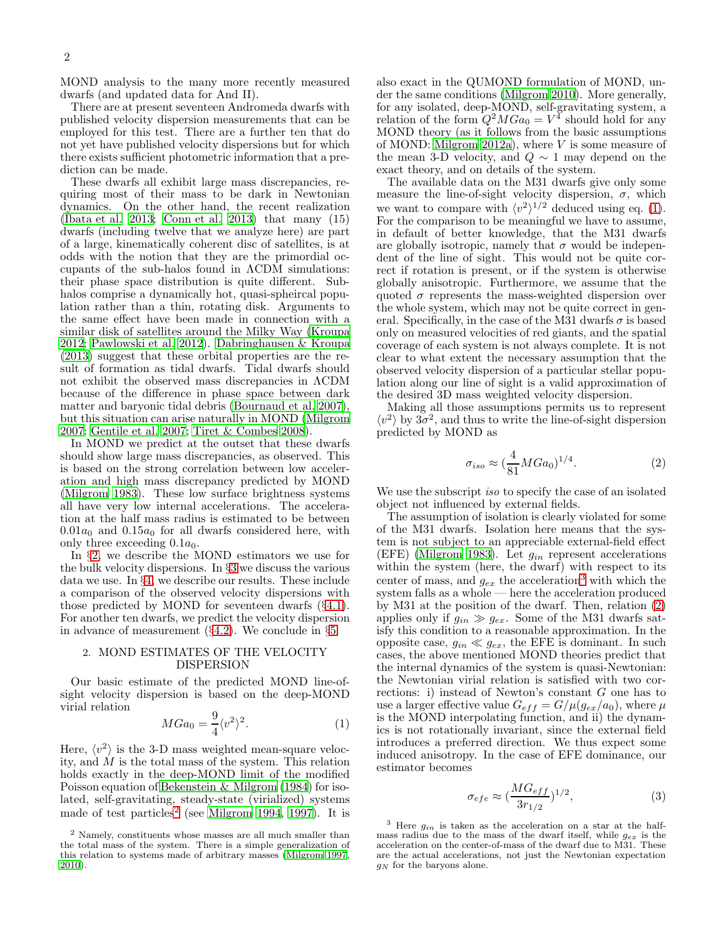MOND analysis to the many more recently measured dwarfs (and updated data for And II).

There are at present seventeen Andromeda dwarfs with published velocity dispersion measurements that can be employed for this test. There are a further ten that do not yet have published velocity dispersions but for which there exists sufficient photometric information that a prediction can be made.

These dwarfs all exhibit large mass discrepancies, requiring most of their mass to be dark in Newtonian dynamics. On the other hand, the recent realization [\(Ibata et al. 2013](#page-7-14); [Conn et al. 2013\)](#page-6-7) that many (15) dwarfs (including twelve that we analyze here) are part of a large, kinematically coherent disc of satellites, is at odds with the notion that they are the primordial occupants of the sub-halos found in ΛCDM simulations: their phase space distribution is quite different. Subhalos comprise a dynamically hot, quasi-spheircal population rather than a thin, rotating disk. Arguments to the same effect have been made in connection with a similar disk of satellites around the Milky Way [\(Kroupa](#page-7-15) [2012;](#page-7-15) [Pawlowski et al. 2012\)](#page-7-16). [Dabringhausen & Kroupa](#page-6-8) [\(2013\)](#page-6-8) suggest that these orbital properties are the result of formation as tidal dwarfs. Tidal dwarfs should not exhibit the observed mass discrepancies in ΛCDM because of the difference in phase space between dark matter and baryonic tidal debris [\(Bournaud et al. 2007\)](#page-6-9), but this situation can arise naturally in MOND [\(Milgrom](#page-7-17) [2007;](#page-7-17) [Gentile et al. 2007;](#page-6-10) [Tiret & Combes 2008](#page-7-18)).

In MOND we predict at the outset that these dwarfs should show large mass discrepancies, as observed. This is based on the strong correlation between low acceleration and high mass discrepancy predicted by MOND [\(Milgrom 1983\)](#page-7-0). These low surface brightness systems all have very low internal accelerations. The acceleration at the half mass radius is estimated to be between  $0.01a_0$  and  $0.15a_0$  for all dwarfs considered here, with only three exceeding  $0.1a_0$ .

In §[2,](#page-1-0) we describe the MOND estimators we use for the bulk velocity dispersions. In §[3](#page-2-0) we discuss the various data we use. In §[4,](#page-3-0) we describe our results. These include a comparison of the observed velocity dispersions with those predicted by MOND for seventeen dwarfs (§[4.1\)](#page-5-0). For another ten dwarfs, we predict the velocity dispersion in advance of measurement  $(\S4.2)$  $(\S4.2)$ . We conclude in  $\S5$ .

# <span id="page-1-0"></span>2. MOND ESTIMATES OF THE VELOCITY DISPERSION

Our basic estimate of the predicted MOND line-ofsight velocity dispersion is based on the deep-MOND virial relation

<span id="page-1-2"></span>
$$
MGa_0 = \frac{9}{4} \langle v^2 \rangle^2. \tag{1}
$$

Here,  $\langle v^2 \rangle$  is the 3-D mass weighted mean-square velocity, and M is the total mass of the system. This relation holds exactly in the deep-MOND limit of the modified Poisson equation of [Bekenstein & Milgrom \(1984\)](#page-6-13) for isolated, self-gravitating, steady-state (virialized) systems made of test particles<sup>[2](#page-1-1)</sup> (see [Milgrom 1994,](#page-7-19) [1997\)](#page-7-20). It is

also exact in the QUMOND formulation of MOND, under the same conditions [\(Milgrom 2010](#page-7-21)). More generally, for any isolated, deep-MOND, self-gravitating system, a relation of the form  $Q^2 M G a_0 = V^4$  should hold for any MOND theory (as it follows from the basic assumptions of MOND: [Milgrom 2012a\)](#page-7-7), where  $V$  is some measure of the mean 3-D velocity, and  $Q \sim 1$  may depend on the exact theory, and on details of the system.

The available data on the M31 dwarfs give only some measure the line-of-sight velocity dispersion,  $\sigma$ , which we want to compare with  $\langle v^2 \rangle^{1/2}$  deduced using eq. [\(1\)](#page-1-2). For the comparison to be meaningful we have to assume, in default of better knowledge, that the M31 dwarfs are globally isotropic, namely that  $\sigma$  would be independent of the line of sight. This would not be quite correct if rotation is present, or if the system is otherwise globally anisotropic. Furthermore, we assume that the quoted  $\sigma$  represents the mass-weighted dispersion over the whole system, which may not be quite correct in general. Specifically, in the case of the M31 dwarfs  $\sigma$  is based only on measured velocities of red giants, and the spatial coverage of each system is not always complete. It is not clear to what extent the necessary assumption that the observed velocity dispersion of a particular stellar population along our line of sight is a valid approximation of the desired 3D mass weighted velocity dispersion.

Making all those assumptions permits us to represent  $\langle v^2 \rangle$  by  $3\sigma^2$ , and thus to write the line-of-sight dispersion predicted by MOND as

<span id="page-1-4"></span>
$$
\sigma_{iso} \approx \left(\frac{4}{81} MGa_0\right)^{1/4}.\tag{2}
$$

We use the subscript iso to specify the case of an isolated object not influenced by external fields.

The assumption of isolation is clearly violated for some of the M31 dwarfs. Isolation here means that the system is not subject to an appreciable external-field effect (EFE) [\(Milgrom 1983](#page-7-0)). Let  $g_{in}$  represent accelerations within the system (here, the dwarf) with respect to its center of mass, and  $g_{ex}$  the acceleration<sup>[3](#page-1-3)</sup> with which the system falls as a whole — here the acceleration produced by M31 at the position of the dwarf. Then, relation [\(2\)](#page-1-4) applies only if  $g_{in} \gg g_{ex}$ . Some of the M31 dwarfs satisfy this condition to a reasonable approximation. In the opposite case,  $g_{in} \ll g_{ex}$ , the EFE is dominant. In such cases, the above mentioned MOND theories predict that the internal dynamics of the system is quasi-Newtonian: the Newtonian virial relation is satisfied with two corrections: i) instead of Newton's constant G one has to use a larger effective value  $G_{eff} = G/\mu(g_{ex}/a_0)$ , where  $\mu$ is the MOND interpolating function, and ii) the dynamics is not rotationally invariant, since the external field introduces a preferred direction. We thus expect some induced anisotropy. In the case of EFE dominance, our estimator becomes

<span id="page-1-5"></span>
$$
\sigma_{efe} \approx \left(\frac{MG_{eff}}{3r_{1/2}}\right)^{1/2},\tag{3}
$$

<span id="page-1-1"></span><sup>2</sup> Namely, constituents whose masses are all much smaller than the total mass of the system. There is a simple generalization of this relation to systems made of arbitrary masses [\(Milgrom 1997,](#page-7-20) [2010\)](#page-7-21).

<span id="page-1-3"></span> $3$  Here  $g_{in}$  is taken as the acceleration on a star at the halfmass radius due to the mass of the dwarf itself, while  $g_{ex}$  is the acceleration on the center-of-mass of the dwarf due to M31. These are the actual accelerations, not just the Newtonian expectation  $g_N$  for the baryons alone.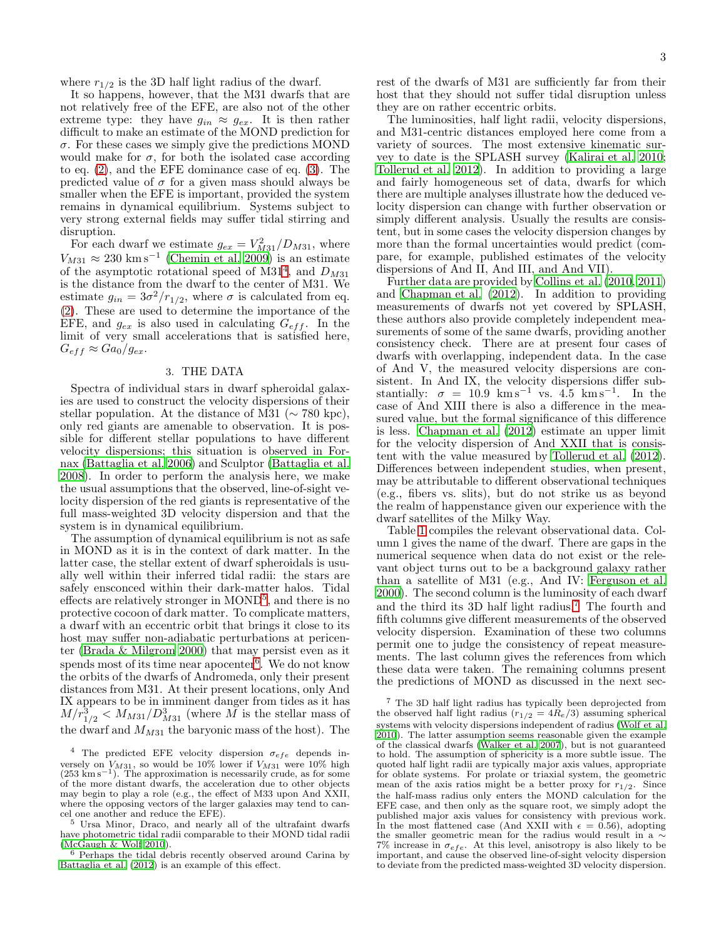where  $r_{1/2}$  is the 3D half light radius of the dwarf.

It so happens, however, that the M31 dwarfs that are not relatively free of the EFE, are also not of the other extreme type: they have  $g_{in} \approx g_{ex}$ . It is then rather difficult to make an estimate of the MOND prediction for  $\sigma$ . For these cases we simply give the predictions MOND would make for  $\sigma$ , for both the isolated case according to eq. [\(2\)](#page-1-4), and the EFE dominance case of eq. [\(3\)](#page-1-5). The predicted value of  $\sigma$  for a given mass should always be smaller when the EFE is important, provided the system remains in dynamical equilibrium. Systems subject to very strong external fields may suffer tidal stirring and disruption.

For each dwarf we estimate  $g_{ex} = V_{M31}^2/D_{M31}$ , where  $V_{M31} \approx 230 \text{ km s}^{-1}$  [\(Chemin et al. 2009\)](#page-6-14) is an estimate of the asymptotic rotational speed of  $M31<sup>4</sup>$  $M31<sup>4</sup>$  $M31<sup>4</sup>$ , and  $D_{M31}$ is the distance from the dwarf to the center of M31. We estimate  $g_{in} = 3\sigma^2/r_{1/2}$ , where  $\sigma$  is calculated from eq. [\(2\)](#page-1-4). These are used to determine the importance of the EFE, and  $g_{ex}$  is also used in calculating  $G_{eff}$ . In the limit of very small accelerations that is satisfied here,  $G_{eff} \approx Ga_0/g_{ex}.$ 

## 3. THE DATA

<span id="page-2-0"></span>Spectra of individual stars in dwarf spheroidal galaxies are used to construct the velocity dispersions of their stellar population. At the distance of M31 ( $\sim$  780 kpc), only red giants are amenable to observation. It is possible for different stellar populations to have different velocity dispersions; this situation is observed in Fornax [\(Battaglia et al. 2006\)](#page-6-3) and Sculptor [\(Battaglia et al.](#page-6-4) [2008\)](#page-6-4). In order to perform the analysis here, we make the usual assumptions that the observed, line-of-sight velocity dispersion of the red giants is representative of the full mass-weighted 3D velocity dispersion and that the system is in dynamical equilibrium.

The assumption of dynamical equilibrium is not as safe in MOND as it is in the context of dark matter. In the latter case, the stellar extent of dwarf spheroidals is usually well within their inferred tidal radii: the stars are safely ensconced within their dark-matter halos. Tidal effects are relatively stronger in MOND<sup>[5](#page-2-2)</sup>, and there is no protective cocoon of dark matter. To complicate matters, a dwarf with an eccentric orbit that brings it close to its host may suffer non-adiabatic perturbations at pericenter [\(Brada & Milgrom 2000](#page-6-5)) that may persist even as it spends most of its time near apocenter<sup>[6](#page-2-3)</sup>. We do not know the orbits of the dwarfs of Andromeda, only their present distances from M31. At their present locations, only And IX appears to be in imminent danger from tides as it has  $M/r_{1/2}^3 < M_{M31}/D_{M31}^3$  (where  $\tilde{M}$  is the stellar mass of the dwarf and  $M_{M31}$  the baryonic mass of the host). The

cel one another and reduce the EFE). <sup>5</sup> Ursa Minor, Draco, and nearly all of the ultrafaint dwarfs have photometric tidal radii comparable to their MOND tidal radii

<span id="page-2-3"></span><span id="page-2-2"></span>[\(McGaugh & Wolf 2010](#page-7-8)). <sup>6</sup> Perhaps the tidal debris recently observed around Carina by [Battaglia et al. \(2012](#page-6-15)) is an example of this effect.

rest of the dwarfs of M31 are sufficiently far from their host that they should not suffer tidal disruption unless they are on rather eccentric orbits.

The luminosities, half light radii, velocity dispersions, and M31-centric distances employed here come from a variety of sources. The most extensive kinematic survey to date is the SPLASH survey [\(Kalirai et al. 2010](#page-7-12); [Tollerud et al. 2012\)](#page-7-13). In addition to providing a large and fairly homogeneous set of data, dwarfs for which there are multiple analyses illustrate how the deduced velocity dispersion can change with further observation or simply different analysis. Usually the results are consistent, but in some cases the velocity dispersion changes by more than the formal uncertainties would predict (compare, for example, published estimates of the velocity dispersions of And II, And III, and And VII).

Further data are provided by [Collins et al. \(2010](#page-6-16), [2011](#page-6-17)) and [Chapman et al. \(2012](#page-6-18)). In addition to providing measurements of dwarfs not yet covered by SPLASH, these authors also provide completely independent measurements of some of the same dwarfs, providing another consistency check. There are at present four cases of dwarfs with overlapping, independent data. In the case of And V, the measured velocity dispersions are consistent. In And IX, the velocity dispersions differ substantially:  $\sigma = 10.9$  km s<sup>-1</sup> vs. 4.5 km s<sup>-1</sup>. In the case of And XIII there is also a difference in the measured value, but the formal significance of this difference is less. [Chapman et al. \(2012\)](#page-6-18) estimate an upper limit for the velocity dispersion of And XXII that is consistent with the value measured by [Tollerud et al. \(2012](#page-7-13)). Differences between independent studies, when present, may be attributable to different observational techniques (e.g., fibers vs. slits), but do not strike us as beyond the realm of happenstance given our experience with the dwarf satellites of the Milky Way.

Table [1](#page-3-1) compiles the relevant observational data. Column 1 gives the name of the dwarf. There are gaps in the numerical sequence when data do not exist or the relevant object turns out to be a background galaxy rather than a satellite of M31 (e.g., And IV: [Ferguson et al.](#page-6-19) [2000\)](#page-6-19). The second column is the luminosity of each dwarf and the third its 3D half light radius.<sup>[7](#page-2-4)</sup> The fourth and fifth columns give different measurements of the observed velocity dispersion. Examination of these two columns permit one to judge the consistency of repeat measurements. The last column gives the references from which these data were taken. The remaining columns present the predictions of MOND as discussed in the next sec-

<span id="page-2-4"></span><sup>7</sup> The 3D half light radius has typically been deprojected from the observed half light radius  $(r_{1/2} = 4R_e/3)$  assuming spherical systems with velocity dispersions independent of radius [\(Wolf et al.](#page-7-22) [2010](#page-7-22)). The latter assumption seems reasonable given the example of the classical dwarfs [\(Walker et al. 2007\)](#page-7-10), but is not guaranteed to hold. The assumption of sphericity is a more subtle issue. The quoted half light radii are typically major axis values, appropriate for oblate systems. For prolate or triaxial system, the geometric mean of the axis ratios might be a better proxy for  $r_{1/2}$ . Since the half-mass radius only enters the MOND calculation for the EFE case, and then only as the square root, we simply adopt the published major axis values for consistency with previous work. In the most flattened case (And XXII with  $\epsilon = 0.56$ ), adopting the smaller geometric mean for the radius would result in a  $\sim$ 7% increase in  $\sigma_{efe}.$  At this level, anisotropy is also likely to be important, and cause the observed line-of-sight velocity dispersion to deviate from the predicted mass-weighted 3D velocity dispersion.

<span id="page-2-1"></span><sup>&</sup>lt;sup>4</sup> The predicted EFE velocity dispersion  $\sigma_{efe}$  depends inversely on  $V_{M31}$ , so would be 10% lower if  $V_{M31}$  were 10% high (253 km s<sup>-1</sup>). The approximation is necessarily crude, as for some of the more distant dwarfs, the acceleration due to other objects may begin to play a role (e.g., the effect of M33 upon And XXII, where the opposing vectors of the larger galaxies may tend to can-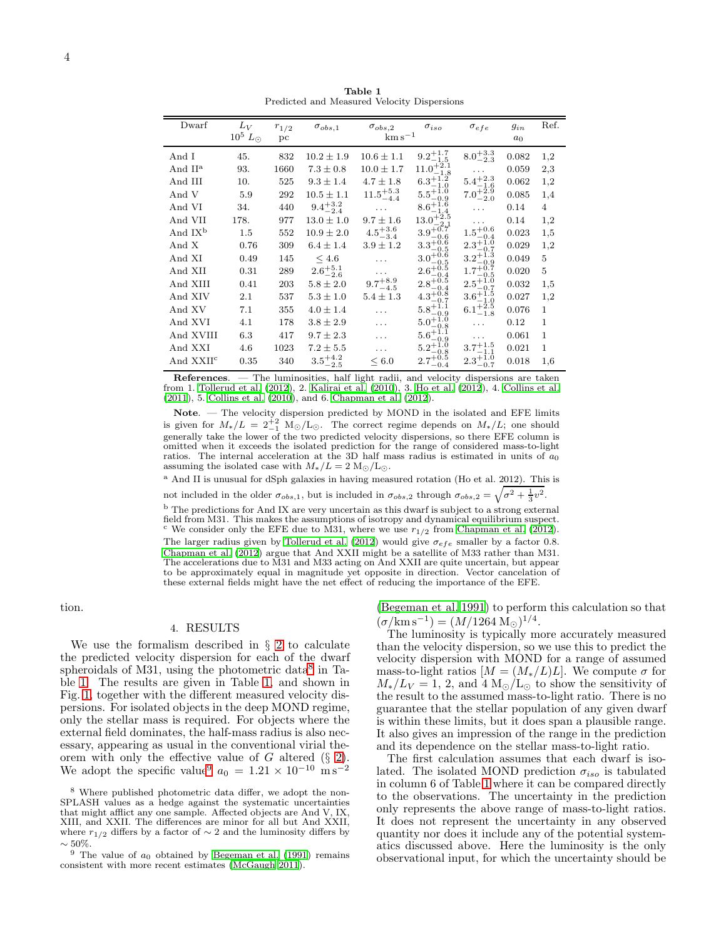<span id="page-3-1"></span>

| Dwarf                 | $L_V$<br>$10^5~L_{\odot}$ | $r_{1/2}$<br>pc | $\sigma_{obs,1}$    | $\sigma_{obs,2}$<br>$km s^{-1}$ | $\sigma_{iso}$                         | $\sigma_{efe}$                                       | $g_{in}$<br>a <sub>0</sub> | Ref.         |
|-----------------------|---------------------------|-----------------|---------------------|---------------------------------|----------------------------------------|------------------------------------------------------|----------------------------|--------------|
| And I                 | 45.                       | 832             | $10.2 \pm 1.9$      | $10.6 \pm 1.1$                  | $9.2^{+1.7}_{-1.5}$                    | $8.0^{+3.3}_{-2.3}$                                  | 0.082                      | 1,2          |
| And $IIa$             | 93.                       | 1660            | $7.3 \pm 0.8$       | $10.0 \pm 1.7$                  | $11.0^{+2.1}_{-1}$<br>$-1.8$           |                                                      | 0.059                      | 2,3          |
| And III               | 10.                       | 525             | $9.3 \pm 1.4$       | $4.7 \pm 1.8$                   | $6.3^{+1.2}_{-1.0}$                    | $\rm {5.4^{+2.3}_{-1.6}}$                            | 0.062                      | 1,2          |
| And V                 | 5.9                       | 292             | $10.5 \pm 1.1$      | $11.5^{+5.3}_{-4.4}$            | $5.5^{+1.0}_{-0.9}$                    | $7.0^{+2.9}_{-2.0}$                                  | 0.085                      | 1,4          |
| And VI                | 34.                       | 440             | $9.4^{+3.2}_{-2.4}$ |                                 | $8.6^{+1.6}_{-1.4}$                    | .                                                    | 0.14                       | 4            |
| And VII               | 178.                      | 977             | $13.0 \pm 1.0$      | $9.7 \pm 1.6$                   | $13.0^{+2.5}_{-2.1}$                   | $\cdots$                                             | 0.14                       | 1,2          |
| And IX <sup>b</sup>   | $1.5\,$                   | 552             | $10.9 \pm 2.0$      | $4.5^{+3.6}_{-3.4}$             | $3.9^{+0.7}_{-0.7}$<br>-0.6            | $1.5^{+0.6}_{-0.4}$                                  | 0.023                      | 1,5          |
| And X                 | 0.76                      | 309             | $6.4 \pm 1.4$       | $3.9 \pm 1.2$                   | $3.3^{+0.6}_{-0.5}$                    | $2.3^{+1.0}_{-0.7}$                                  | 0.029                      | 1,2          |
| And XI                | 0.49                      | 145             | $\leq 4.6$          | .                               | $3.0^{+0.6}_{-0.5}$                    | $3.2^{+\overset{5}{1}\cdot\overset{4}{2}}$<br>$-0.9$ | 0.049                      | 5            |
| And XII               | 0.31                      | 289             | $2.6^{+5.1}_{-2.6}$ |                                 | $2.6^{+0.8}_{-0.5}$<br>$^{ - 0.4}$     | $1.7^{+\overset{0}{0}.\overset{5}{7}}$<br>$-0.5$     | 0.020                      | 5            |
| And XIII              | 0.41                      | 203             | $5.8 \pm 2.0$       | $9.7^{+8.9}_{-4.5}$             | $2.8^{+0.5}_{-0.5}$<br>$-0.4$          | $2.5^{+1.0}_{-0.7}$                                  | 0.032                      | 1,5          |
| And XIV               | 2.1                       | 537             | $5.3 \pm 1.0$       | $5.4 \pm 1.3$                   | $4.3^{+0.8}_{-0.8}$<br>$-0.7$          | $3.6 + 1.5$                                          | 0.027                      | 1,2          |
| And XV                | 7.1                       | 355             | $4.0 \pm 1.4$       | $\cdots$                        | $5.8^{+1.1}_{-0.9}$                    | $^{3.0}_{6.1_{-1.8}^{+1.0}_{-1.8}}$                  | 0.076                      | 1.           |
| And XVI               | 4.1                       | 178             | $3.8 \pm 2.9$       | .                               | $5.0^{+1.0}_{-0.8}$                    | $\cdots$                                             | 0.12                       | 1            |
| And XVIII             | 6.3                       | 417             | $9.7 \pm 2.3$       | .                               | $5.6^{+1.1}_{-2.1}$<br>$-0.9$          | .                                                    | 0.061                      | $\mathbf{1}$ |
| And XXI               | 4.6                       | 1023            | $7.2 \pm 5.5$       | .                               | $5.2^{+\check{1},\check{0}}$<br>$-0.8$ | $3.7^{+1.5}_{-1.1}$                                  | 0.021                      | $\mathbf 1$  |
| And XXII <sup>c</sup> | 0.35                      | 340             | $3.5^{+4.2}_{-2.5}$ | < 6.0                           | $2.7^{+0.8}_{-0.5}$                    | $2.3^{+\overline{1}.\overline{0}}$                   | 0.018                      | 1,6          |

Table 1 Predicted and Measured Velocity Dispersions

References. — The luminosities, half light radii, and velocity dispersions are taken from 1. Tollerud et al. (2012), 2. Kalirai et al. (2010), 3. Ho et al. (2012), 4. Collins et al.  $(2011)$ , 5. Collins et al.  $(2010)$ , and 6. Chapman et al.  $(2012)$ .

Note. — The velocity dispersion predicted by MOND in the isolated and EFE limits is given for  $M_*/L = 2\frac{1}{-1}$   $M_{\odot}/L_{\odot}$ . The correct regime depends on  $M_*/L$ ; one should generally take the lower of the two predicted velocity dispersions, so there EFE column is omitted when it exceeds the isolated prediction for the range of considered mass-to-light ratios. The internal acceleration at the 3D half mass radius is estimated in units of  $a_0$ assuming the isolated case with  $M_*/L = 2 \text{ M}_\odot/\text{L}_\odot$ .

<sup>a</sup> And II is unusual for dSph galaxies in having measured rotation (Ho et al. 2012). This is not included in the older  $\sigma_{obs,1}$ , but is included in  $\sigma_{obs,2}$  through  $\sigma_{obs,2} = \sqrt{\sigma^2 + \frac{1}{3}v^2}$ . <sup>b</sup> The predictions for And IX are very uncertain as this dwarf is subject to a strong external field from M31. This makes the assumptions of isotropy and dynamical equilibrium suspect. <sup>c</sup> We consider only the EFE due to M31, where we use  $r_{1/2}$  from Chapman et al. (2012). The larger radius given by Tollerud et al. (2012) would give  $\sigma_{efe}$  smaller by a factor 0.8. Chapman et al. (2012) argue that And XXII might be a satellite of M33 rather than M31. The accelerations due to M31 and M33 acting on And XXII are quite uncertain, but appear to be approximately equal in magnitude yet opposite in direction. Vector cancelation of

these external fields might have the net effect of reducing the importance of the EFE.

<span id="page-3-0"></span>tion.

# 4. RESULTS

We use the formalism described in  $\S$  2 to calculate the predicted velocity dispersion for each of the dwarf spheroidals of M31, using the photometric data<sup>8</sup> in Table 1. The results are given in Table 1, and shown in Fig. 1, together with the different measured velocity dispersions. For isolated objects in the deep MOND regime, only the stellar mass is required. For objects where the external field dominates, the half-mass radius is also necessary, appearing as usual in the conventional virial theorem with only the effective value of G altered (§ 2).<br>We adopt the specific value<sup>9</sup>  $a_0 = 1.21 \times 10^{-10}$  ms<sup>-2</sup>

(Begeman et al. 1991) to perform this calculation so that  $(\sigma/\text{km s}^{-1}) = (M/1264 \text{ M}_{\odot})^{1/4}.$ 

The luminosity is typically more accurately measured than the velocity dispersion, so we use this to predict the velocity dispersion with MOND for a range of assumed mass-to-light ratios  $[M = (M_*/L)L]$ . We compute  $\sigma$  for  $M_*/L_V = 1$ , 2, and 4  $M_{\odot}/L_{\odot}$  to show the sensitivity of the result to the assumed mass-to-light ratio. There is no guarantee that the stellar population of any given dwarf is within these limits, but it does span a plausible range. It also gives an impression of the range in the prediction and its dependence on the stellar mass-to-light ratio.

The first calculation assumes that each dwarf is isolated. The isolated MOND prediction  $\sigma_{iso}$  is tabulated in column 6 of Table 1 where it can be compared directly to the observations. The uncertainty in the prediction only represents the above range of mass-to-light ratios. It does not represent the uncertainty in any observed quantity nor does it include any of the potential systematics discussed above. Here the luminosity is the only observational input, for which the uncertainty should be

<span id="page-3-2"></span><sup>&</sup>lt;sup>8</sup> Where published photometric data differ, we adopt the non-SPLASH values as a hedge against the systematic uncertainties that might afflict any one sample. Affected objects are And V, IX, XIII, and XXII. The differences are minor for all but And XXII, where  $r_{1/2}$  differs by a factor of  $\sim 2$  and the luminosity differs by

<span id="page-3-3"></span> $\sim$  50%.<br><sup>9</sup> The value of  $a_0$  obtained by Begeman et al. (1991) remains consistent with more recent estimates (McGaugh 2011).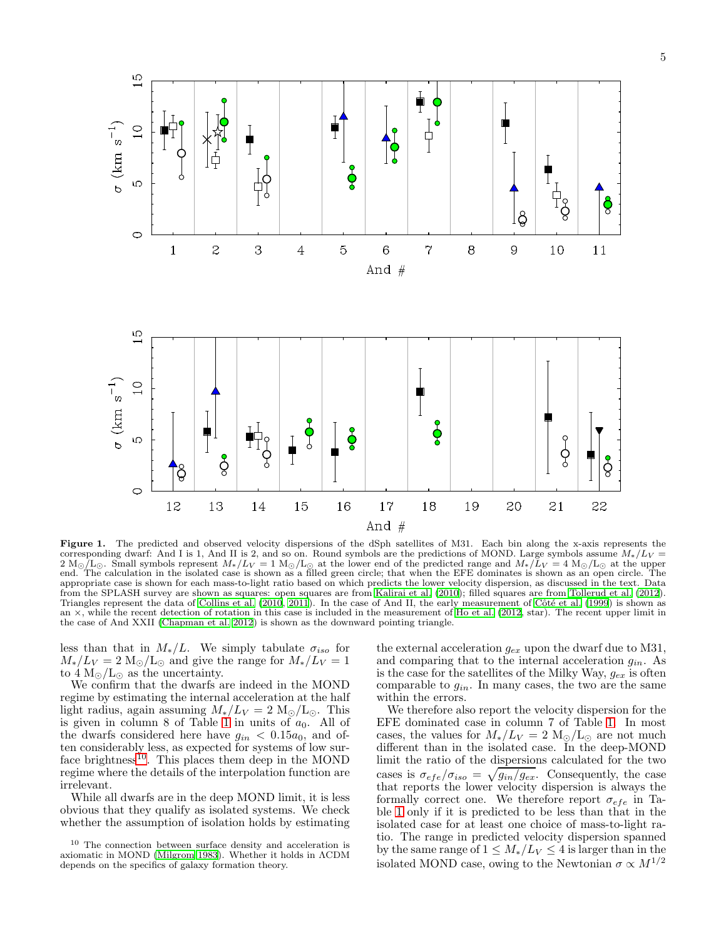

<span id="page-4-0"></span>Figure 1. The predicted and observed velocity dispersions of the dSph satellites of M31. Each bin along the x-axis represents the corresponding dwarf: And I is 1, And II is 2, and so on. Round symbols are the predictions of MOND. Large symbols assume  $M_*/L_V =$  $2 M_{\odot}/L_{\odot}$ . Small symbols represent  $M_*/L_V = 1 M_{\odot}/L_{\odot}$  at the lower end of the predicted range and  $M_*/L_V = 4 M_{\odot}/L_{\odot}$  at the upper<br>end. The calculation in the isolated case is shown as a filled green circle; appropriate case is shown for each mass-to-light ratio based on which predicts the lower velocity dispersion, as discussed in the text. Data from the SPLASH survey are shown as squares: open squares are from [Kalirai et al. \(2010\)](#page-7-12); filled squares are from [Tollerud et al. \(2012](#page-7-13)). Triangles represent the data of [Collins et al. \(2010](#page-6-16), [2011](#page-6-17)). In the case of And II, the early measurement of Côté et al. (1999) is shown as an  $\times$ , while the recent detection of rotation in this case is included in the measurement of [Ho et al. \(2012,](#page-7-23) star). The recent upper limit in the case of And XXII [\(Chapman et al. 2012\)](#page-6-18) is shown as the downward pointing triangle.

less than that in  $M_*/L$ . We simply tabulate  $\sigma_{iso}$  for  $M_*/L_V = 2 \text{ M}_\odot$ /L<sub>☉</sub> and give the range for  $M_*/L_V = 1$ to  $4 M_{\odot}/L_{\odot}$  as the uncertainty.

We confirm that the dwarfs are indeed in the MOND regime by estimating the internal acceleration at the half light radius, again assuming  $M_*/L_V = 2 \text{ M}_\odot/L_\odot$ . This is given in column 8 of Table [1](#page-3-1) in units of  $a_0$ . All of the dwarfs considered here have  $g_{in} < 0.15a_0$ , and often considerably less, as expected for systems of low sur-face brightness<sup>[10](#page-4-1)</sup>. This places them deep in the MOND regime where the details of the interpolation function are irrelevant.

While all dwarfs are in the deep MOND limit, it is less obvious that they qualify as isolated systems. We check whether the assumption of isolation holds by estimating the external acceleration  $g_{ex}$  upon the dwarf due to M31, and comparing that to the internal acceleration  $g_{in}$ . As is the case for the satellites of the Milky Way,  $g_{ex}$  is often comparable to  $g_{in}$ . In many cases, the two are the same within the errors.

We therefore also report the velocity dispersion for the EFE dominated case in column 7 of Table [1.](#page-3-1) In most cases, the values for  $M_*/L_V = 2 \text{ M}_\odot/\text{L}_\odot$  are not much different than in the isolated case. In the deep-MOND limit the ratio of the dispersions calculated for the two cases is  $\sigma_{efe}/\sigma_{iso} = \sqrt{g_{in}/g_{ex}}$ . Consequently, the case that reports the lower velocity dispersion is always the formally correct one. We therefore report  $\sigma_{efe}$  in Table [1](#page-3-1) only if it is predicted to be less than that in the isolated case for at least one choice of mass-to-light ratio. The range in predicted velocity dispersion spanned by the same range of  $1 \leq M_*/L_V \leq 4$  is larger than in the isolated MOND case, owing to the Newtonian  $\sigma \propto M^{1/2}$ 

<span id="page-4-1"></span><sup>10</sup> The connection between surface density and acceleration is axiomatic in MOND [\(Milgrom 1983\)](#page-7-0). Whether it holds in ΛCDM depends on the specifics of galaxy formation theory.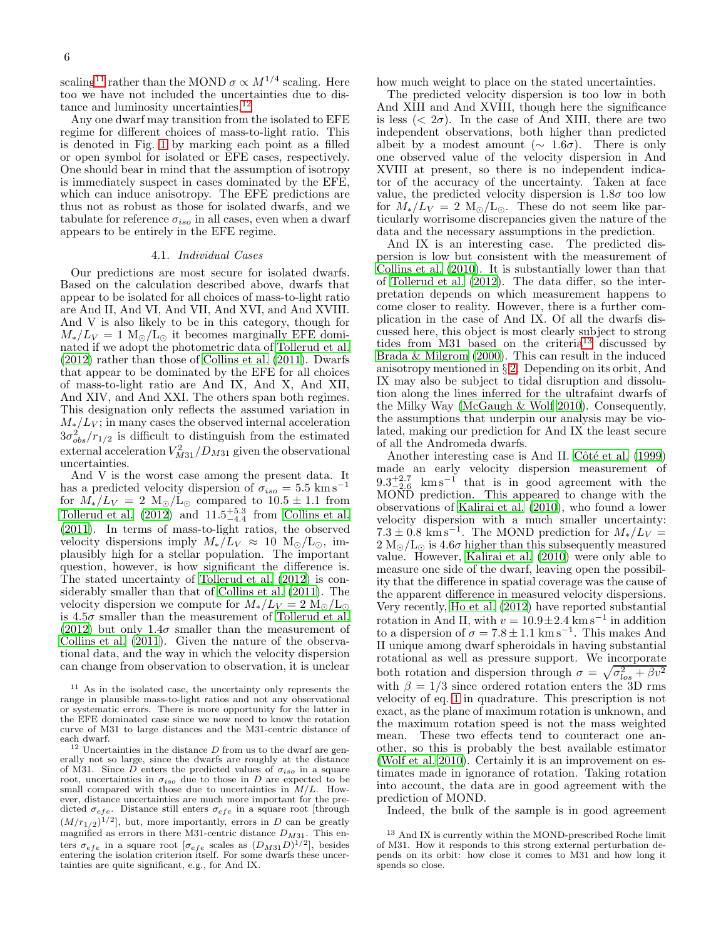scaling<sup>[11](#page-5-1)</sup> rather than the MOND  $\sigma \propto M^{1/4}$  scaling. Here too we have not included the uncertainties due to dis-tance and luminosity uncertainties.<sup>[12](#page-5-2)</sup>

Any one dwarf may transition from the isolated to EFE regime for different choices of mass-to-light ratio. This is denoted in Fig. [1](#page-4-0) by marking each point as a filled or open symbol for isolated or EFE cases, respectively. One should bear in mind that the assumption of isotropy is immediately suspect in cases dominated by the EFE, which can induce anisotropy. The EFE predictions are thus not as robust as those for isolated dwarfs, and we tabulate for reference  $\sigma_{iso}$  in all cases, even when a dwarf appears to be entirely in the EFE regime.

### 4.1. Individual Cases

<span id="page-5-0"></span>Our predictions are most secure for isolated dwarfs. Based on the calculation described above, dwarfs that appear to be isolated for all choices of mass-to-light ratio are And II, And VI, And VII, And XVI, and And XVIII. And V is also likely to be in this category, though for  $M_*/L_V = 1$  M<sub>☉</sub>/L<sub>☉</sub> it becomes marginally EFE dominated if we adopt the photometric data of [Tollerud et al.](#page-7-13) [\(2012\)](#page-7-13) rather than those of [Collins et al. \(2011\)](#page-6-17). Dwarfs that appear to be dominated by the EFE for all choices of mass-to-light ratio are And IX, And X, And XII, And XIV, and And XXI. The others span both regimes. This designation only reflects the assumed variation in  $M_*/L_V$ ; in many cases the observed internal acceleration  $3\sigma_{obs}^2/r_{1/2}$  is difficult to distinguish from the estimated external acceleration  $V_{M31}^2/D_{M31}$  given the observational uncertainties.

And V is the worst case among the present data. It has a predicted velocity dispersion of  $\sigma_{iso} = 5.5 \text{ km s}^{-1}$ for  $M_*/L_V = 2 \text{ M}_{\odot}/\text{L}_{\odot}$  compared to  $10.5 \pm 1.1$  from Tollerud et al.  $(2012)$  and  $11.5^{+5.3}_{-4.4}$  from [Collins et al.](#page-6-17) [\(2011\)](#page-6-17). In terms of mass-to-light ratios, the observed velocity dispersions imply  $M_*\check/L_V \approx 10 \;{\rm M}_{\odot}/{\rm L}_{\odot}$ , implausibly high for a stellar population. The important question, however, is how significant the difference is. The stated uncertainty of [Tollerud et al. \(2012](#page-7-13)) is considerably smaller than that of [Collins et al. \(2011\)](#page-6-17). The velocity dispersion we compute for  $M_*/L_V = 2 \text{ M}_\odot/L_\odot$ is  $4.5\sigma$  smaller than the measurement of [Tollerud et al.](#page-7-13) [\(2012\)](#page-7-13) but only 1.4 $\sigma$  smaller than the measurement of [Collins et al. \(2011](#page-6-17)). Given the nature of the observational data, and the way in which the velocity dispersion can change from observation to observation, it is unclear how much weight to place on the stated uncertainties.

The predicted velocity dispersion is too low in both And XIII and And XVIII, though here the significance is less ( $\langle 2\sigma \rangle$ . In the case of And XIII, there are two independent observations, both higher than predicted albeit by a modest amount ( $\sim 1.6\sigma$ ). There is only one observed value of the velocity dispersion in And XVIII at present, so there is no independent indicator of the accuracy of the uncertainty. Taken at face value, the predicted velocity dispersion is  $1.8\sigma$  too low for  $M_*/L_V = 2 \text{ M}_\odot/L_\odot$ . These do not seem like particularly worrisome discrepancies given the nature of the data and the necessary assumptions in the prediction.

And IX is an interesting case. The predicted dispersion is low but consistent with the measurement of [Collins et al. \(2010\)](#page-6-16). It is substantially lower than that of Tollerud et al.  $(2012)$ . The data differ, so the interpretation depends on which measurement happens to come closer to reality. However, there is a further complication in the case of And IX. Of all the dwarfs discussed here, this object is most clearly subject to strong tides from  $M31$  based on the criteria<sup>[13](#page-5-3)</sup> discussed by [Brada & Milgrom \(2000\)](#page-6-5). This can result in the induced anisotropy mentioned in § [2.](#page-1-0) Depending on its orbit, And IX may also be subject to tidal disruption and dissolution along the lines inferred for the ultrafaint dwarfs of the Milky Way [\(McGaugh & Wolf 2010\)](#page-7-8). Consequently, the assumptions that underpin our analysis may be violated, making our prediction for And IX the least secure of all the Andromeda dwarfs.

Another interesting case is And II. Côté et al. (1999) made an early velocity dispersion measurement of  $9.3^{+2.7}_{-2.6}$  km s<sup>-1</sup> that is in good agreement with the MOND prediction. This appeared to change with the observations of [Kalirai et al. \(2010\)](#page-7-12), who found a lower velocity dispersion with a much smaller uncertainty:  $7.3 \pm 0.8$  km s<sup>-1</sup>. The MOND prediction for  $M_*/L_V =$  $2 M_{\odot}/L_{\odot}$  is  $4.6\sigma$  higher than this subsequently measured value. However, [Kalirai et al. \(2010\)](#page-7-12) were only able to measure one side of the dwarf, leaving open the possibility that the difference in spatial coverage was the cause of the apparent difference in measured velocity dispersions. Very recently, [Ho et al. \(2012\)](#page-7-23) have reported substantial rotation in And II, with  $v = 10.9 \pm 2.4$  km s<sup>-1</sup> in addition to a dispersion of  $\sigma = 7.8 \pm 1.1$  km s<sup>-1</sup>. This makes And II unique among dwarf spheroidals in having substantial rotational as well as pressure support. We incorporate both rotation and dispersion through  $\sigma = \sqrt{\sigma_{los}^2 + \beta v^2}$ with  $\beta = 1/3$  since ordered rotation enters the 3D rms velocity of eq. [1](#page-1-2) in quadrature. This prescription is not exact, as the plane of maximum rotation is unknown, and the maximum rotation speed is not the mass weighted mean. These two effects tend to counteract one another, so this is probably the best available estimator [\(Wolf et al. 2010\)](#page-7-22). Certainly it is an improvement on estimates made in ignorance of rotation. Taking rotation into account, the data are in good agreement with the prediction of MOND.

Indeed, the bulk of the sample is in good agreement

<span id="page-5-1"></span><sup>11</sup> As in the isolated case, the uncertainty only represents the range in plausible mass-to-light ratios and not any observational or systematic errors. There is more opportunity for the latter in the EFE dominated case since we now need to know the rotation curve of M31 to large distances and the M31-centric distance of

<span id="page-5-2"></span>each dwarf.<br><sup>12</sup> Uncertainties in the distance  $D$  from us to the dwarf are generally not so large, since the dwarfs are roughly at the distance of M31. Since D enters the predicted values of  $\sigma_{iso}$  in a square root, uncertainties in  $\sigma_{iso}$  due to those in D are expected to be small compared with those due to uncertainties in  $M/L$ . However, distance uncertainties are much more important for the predicted  $\sigma_{efe}$ . Distance still enters  $\sigma_{efe}$  in a square root [through  $(M/r_{1/2})^{1/2}$ , but, more importantly, errors in D can be greatly magnified as errors in there M31-centric distance  $D_{M31}$ . This enters  $\sigma_{efe}$  in a square root  $[\sigma_{efe}$  scales as  $(D_{M31}D)^{1/2}]$ , besides entering the isolation criterion itself. For some dwarfs these uncertainties are quite significant, e.g., for And IX.

<span id="page-5-3"></span><sup>13</sup> And IX is currently within the MOND-prescribed Roche limit of M31. How it responds to this strong external perturbation depends on its orbit: how close it comes to M31 and how long it spends so close.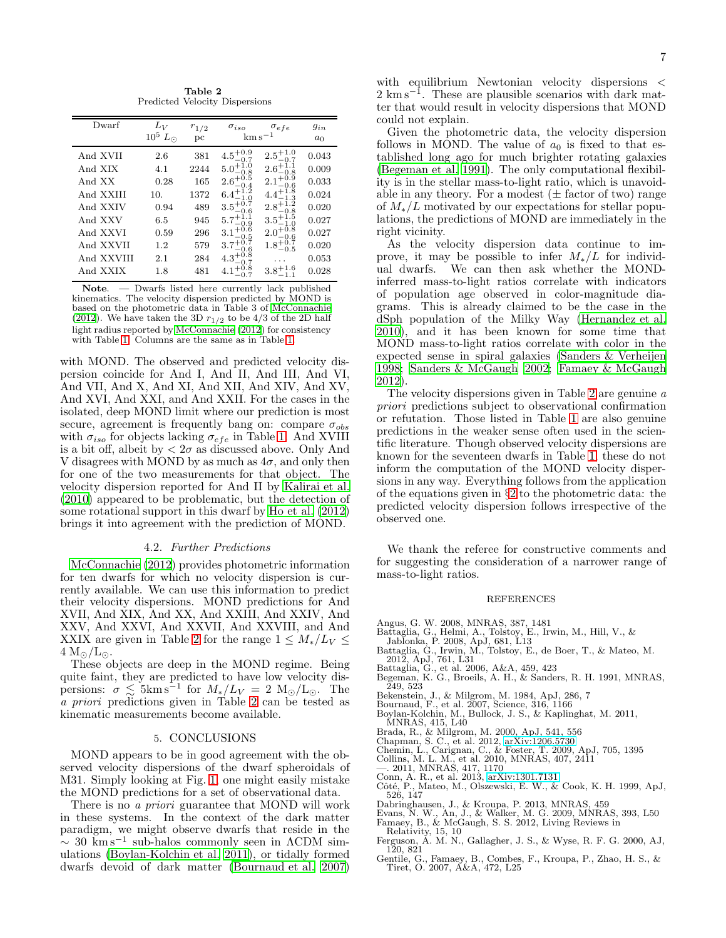Table 2 Predicted Velocity Dispersions

<span id="page-6-21"></span>

| Dwarf      | $L_V$<br>$10^5$<br>$L_{\odot}$ | $r_{1/2}$<br>pc | $\sigma_{iso}$       | $\sigma_{efe}$<br>$\mathrm{km}\,\mathrm{s}^{-1}$ | $g_{in}$<br>$a_0$ |
|------------|--------------------------------|-----------------|----------------------|--------------------------------------------------|-------------------|
|            |                                |                 |                      |                                                  |                   |
| And XVII   | 2.6                            | 381             | -0.7                 | $-0.7$                                           | 0.043             |
| And XIX    | 4.1                            | 2244            | 5.0<br>$-0.8$        | 0.8                                              | 0.009             |
| And XX     | 0.28                           | 165             | 2.                   |                                                  | 0.033             |
| And XXIII  | 10.                            | 1372            | 6.4                  |                                                  | 0.024             |
| And XXIV   | 0.94                           | 489             | $3.5^{+0.7}$<br>-0.6 |                                                  | 0.020             |
| And XXV    | 6.5                            | 945             | 5.7<br>0.9           |                                                  | 0.027             |
| And XXVI   | 0.59                           | 296             | 3.                   |                                                  | 0.027             |
| And XXVII  | 1.2                            | 579             | 3.                   | $-0.5$                                           | 0.020             |
| And XXVIII | 2.1                            | 284             |                      |                                                  | 0.053             |
| And XXIX   | 1.8                            | 481             |                      |                                                  | 0.028             |

- Dwarfs listed here currently lack published Note. kinematics. The velocity dispersion predicted by MOND is based on the photometric data in Table 3 of McConnachie (2012). We have taken the 3D  $r_{1/2}$  to be 4/3 of the 2D half light radius reported by McConnachie (2012) for consistency with Table 1. Columns are the same as in Table 1.

with MOND. The observed and predicted velocity dispersion coincide for And I, And II, And III, And VI, And VII, And X, And XI, And XII, And XIV, And XV, And XVI, And XXI, and And XXII. For the cases in the isolated, deep MOND limit where our prediction is most secure, agreement is frequently bang on: compare  $\sigma_{obs}$ with  $\sigma_{iso}$  for objects lacking  $\sigma_{efe}$  in Table 1. And XVIII is a bit off, albeit by  $\langle 2\sigma \rangle$  as discussed above. Only And V disagrees with MOND by as much as  $4\sigma$ , and only then for one of the two measurements for that object. The velocity dispersion reported for And II by Kalirai et al.  $(2010)$  appeared to be problematic, but the detection of some rotational support in this dwarf by Ho et al. (2012) brings it into agreement with the prediction of MOND.

## 4.2. Further Predictions

<span id="page-6-11"></span>McConnachie (2012) provides photometric information for ten dwarfs for which no velocity dispersion is currently available. We can use this information to predict their velocity dispersions. MOND predictions for And XVII, And XIX, And XX, And XXIII, And XXIV, And XXV, And XXVI, And XXVII, And XXVIII, and And XXIX are given in Table 2 for the range  $1 \leq M_*/L_V \leq$  $4 M_{\odot}/L_{\odot}$ .

These objects are deep in the MOND regime. Being quite faint, they are predicted to have low velocity dispersions:  $\sigma \lesssim 5 \text{km s}^{-1}$  for  $M_*/L_V = 2 \text{ M}_\odot/\text{L}_\odot$ . The  $\alpha$  priori predictions given in Table 2 can be tested as kinematic measurements become available.

#### 5. CONCLUSIONS

<span id="page-6-12"></span>MOND appears to be in good agreement with the observed velocity dispersions of the dwarf spheroidals of M31. Simply looking at Fig. 1, one might easily mistake the MOND predictions for a set of observational data.

There is no *a priori* guarantee that MOND will work in these systems. In the context of the dark matter paradigm, we might observe dwarfs that reside in the  $\sim$  30  $\text{km s}^{-1}$  sub-halos commonly seen in ACDM simulations (Boylan-Kolchin et al. 2011), or tidally formed dwarfs devoid of dark matter (Bournaud et al. 2007)

with equilibrium Newtonian velocity dispersions <  $2 \text{ km s}^{-1}$ . These are plausible scenarios with dark matter that would result in velocity dispersions that MOND could not explain.

Given the photometric data, the velocity dispersion follows in MOND. The value of  $a_0$  is fixed to that established long ago for much brighter rotating galaxies (Begeman et al. 1991). The only computational flexibility is in the stellar mass-to-light ratio, which is unavoidable in any theory. For a modest  $(\pm$  factor of two) range of  $M_{*}/L$  motivated by our expectations for stellar populations, the predictions of MOND are immediately in the right vicinity.

As the velocity dispersion data continue to improve, it may be possible to infer  $M_{*}/L$  for individual dwarfs. We can then ask whether the MONDinferred mass-to-light ratios correlate with indicators of population age observed in color-magnitude diagrams. This is already claimed to be the case in the dSph population of the Milky Way (Hernandez et al. 2010), and it has been known for some time that MOND mass-to-light ratios correlate with color in the expected sense in spiral galaxies (Sanders & Verheijen 1998; Sanders & McGaugh 2002; Famaey & McGaugh 2012)

The velocity dispersions given in Table 2 are genuine  $\alpha$ *priori* predictions subject to observational confirmation or refutation. Those listed in Table 1 are also genuine predictions in the weaker sense often used in the scientific literature. Though observed velocity dispersions are known for the seventeen dwarfs in Table 1, these do not inform the computation of the MOND velocity dispersions in any way. Everything follows from the application of the equations given in  $\S 2$  to the photometric data: the predicted velocity dispersion follows irrespective of the observed one.

We thank the referee for constructive comments and for suggesting the consideration of a narrower range of mass-to-light ratios.

#### **REFERENCES**

- 
- 
- <span id="page-6-1"></span>Angus, G. W. 2008, MNRAS, 387, 1481<br>Battaglia, G., Helmi, A., Tolstoy, E., Irwin, M., Hill, V., &<br>Jablonka, P. 2008, ApJ, 681, L13
- <span id="page-6-15"></span><span id="page-6-4"></span>Battaglia, G., Irwin, M., Tolstoy, E., de Boer, T., & Mateo, M.<br>2012, ApJ, 761, L31<br>Battaglia, G., et al. 2006, A&A, 459, 423<br>Begeman, K. G., Broeils, A. H., & Sanders, R. H. 1991, MNRAS,
- <span id="page-6-3"></span>
- <span id="page-6-20"></span>249.523
- <span id="page-6-13"></span>
- <span id="page-6-9"></span>
- Bekenstein, J., & Milgrom, M. 1984, ApJ, 286, 7<br>Bournaud, F., et al. 2007, Science, 316, 1166<br>Boylan-Kolchin, M., Bullock, J. S., & Kaplinghat, M. 2011,<br>MNRAS, 415, L40
- 
- <span id="page-6-18"></span><span id="page-6-14"></span>
- <span id="page-6-22"></span><span id="page-6-5"></span>Brada, R., & Milgrom, M. 2000, ApJ, 541, 556<br>Chapman, S. C., et al. 2012, arXiv:1206.5730<br>Chemin, L., Carignan, C., & Foster, T. 2009, ApJ, 705, 1395<br>Collins, M. L. M., et al. 2010, MNRAS, 407, 2411<br>-.. 2011, MNRAS, 417, 1
- <span id="page-6-16"></span>
- <span id="page-6-17"></span><span id="page-6-7"></span>
- Conn, A. R., et al. 2013, arXiv:1301.7131<br>Côté, P., Mateo, M., Olszewski, E. W., & Cook, K. H. 1999, ApJ, 526, 147
- <span id="page-6-8"></span><span id="page-6-2"></span>
- <span id="page-6-6"></span>Dabringhausen, J., & Kroupa, P. 2013, MNRAS, 459<br>Evans, N. W., An, J., & Walker, M. G. 2009, MNRAS, 393, L50<br>Famaey, B., & McGaugh, S. S. 2012, Living Reviews in<br>Dalatinity L. McGaugh, S. S. 2012, Living Reviews in
- <span id="page-6-19"></span><span id="page-6-0"></span>Relativity, 15, 10<br>Ferguson, A. M. N., Gallagher, J. S., & Wyse, R. F. G. 2000, AJ,  $120, 821$
- <span id="page-6-10"></span>Gentile, G., Famaey, B., Combes, F., Kroupa, P., Zhao, H. S., & Tiret, O. 2007, A&A, 472, L25